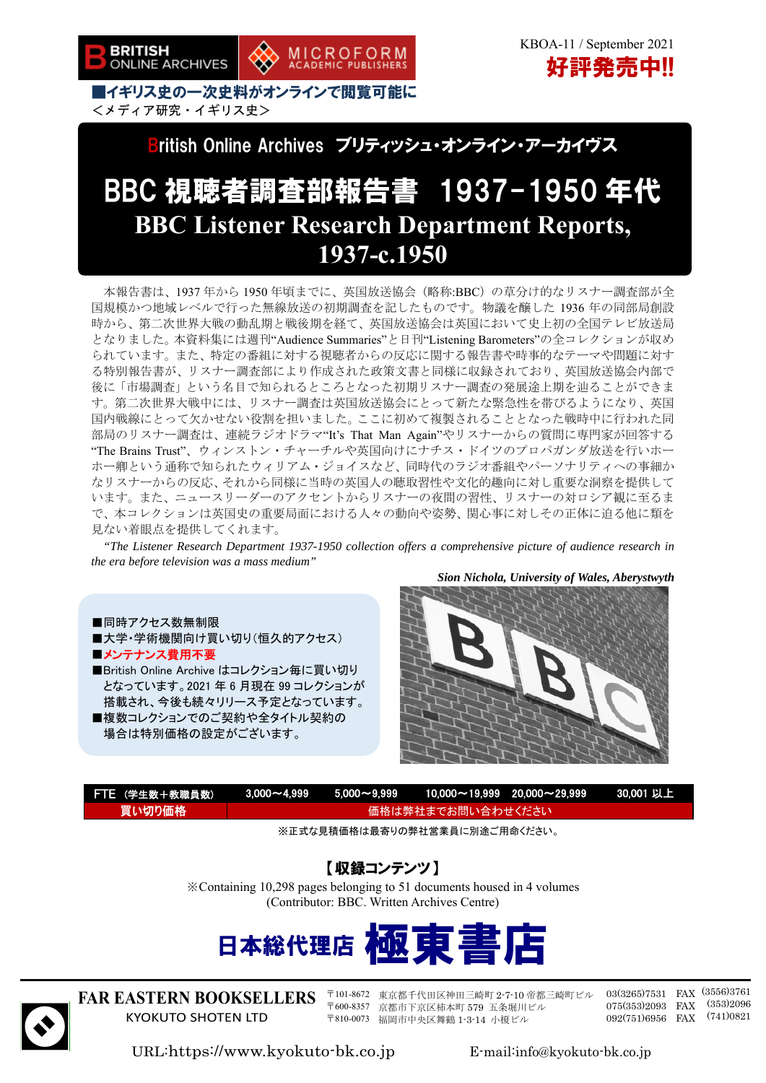British Online Archives ブリティッシュ・オンライン・アーカイヴス

# BBC 視聴者調査部報告書 1937-1950 年代 **BBC Listener Research Department Reports, 1937-c.1950**

本報告書は、1937 年から 1950 年頃までに、英国放送協会(略称:BBC)の草分け的なリスナー調査部が全 国規模かつ地域レベルで行った無線放送の初期調査を記したものです。物議を醸した 1936 年の同部局創設 時から、第二次世界大戦の動乱期と戦後期を経て、英国放送協会は英国において史上初の全国テレビ放送局 となりました。本資料集には週刊"Audience Summaries"と日刊"Listening Barometers"の全コレクションが収め られています。また、特定の番組に対する視聴者からの反応に関する報告書や時事的なテーマや問題に対す る特別報告書が、リスナー調査部により作成された政策文書と同様に収録されており、英国放送協会内部で 後に「市場調査」という名目で知られるところとなった初期リスナー調査の発展途上期を辿ることができま す。第二次世界大戦中には、リスナー調査は英国放送協会にとって新たな緊急性を帯びるようになり、英国 国内戦線にとって欠かせない役割を担いました。ここに初めて複製されることとなった戦時中に行われた同 部局のリスナー調査は、連続ラジオドラマ"It's That Man Again"やリスナーからの質問に専門家が回答する "The Brains Trust"、ウィンストン・チャーチルや英国向けにナチス・ドイツのプロパガンダ放送を行いホー ホー卿という通称で知られたウィリアム・ジョイスなど、同時代のラジオ番組やパーソナリティへの事細か なリスナーからの反応、それから同様に当時の英国人の聴取習性や文化的趣向に対し重要な洞察を提供して います。また、ニュースリーダーのアクセントからリスナーの夜間の習性、リスナーの対ロシア観に至るま で、本コレクションは英国史の重要局面における人々の動向や姿勢、関心事に対しその正体に迫る他に類を 見ない着眼点を提供してくれます。

*"The Listener Research Department 1937-1950 collection offers a comprehensive picture of audience research in the era before television was a mass medium"* 

*Sion Nichola, University of Wales, Aberystwyth* 

■同時アクセス数無制限 ■大学・学術機関向け買い切り(恒久的アクセス) ■メンテナンス費用不要

■British Online Archive はコレクション毎に買い切り となっています。2021 年 6 月現在 99 コレクションが 搭載され、今後も続々リリース予定となっています。 ■複数コレクションでのご契約や全タイトル契約の 場合は特別価格の設定がございます。



| FTE (学生数+教職員数) |                   |  |  | <u> 3,000~4,999   5,000~9,999   10,000~19,999  20,000~29,999   30,001 以上</u> |  |
|----------------|-------------------|--|--|------------------------------------------------------------------------------|--|
| 買い切り価格         | 価格は弊社までお問い合わせください |  |  |                                                                              |  |
|                |                   |  |  |                                                                              |  |

※正式な見積価格は最寄りの弊社営業員に別途ご用命ください。

### 【収録コンテンツ】

※Containing 10,298 pages belonging to 51 documents housed in 4 volumes (Contributor: BBC. Written Archives Centre)





 $\overline{a}$ 

**FAR EASTERN BOOKSELLERS**  KYOKUTO SHOTEN LTD

〒101-8672 東京都千代田区神田三崎町 2-7-10 帝都三崎町ビル 〒600-8357 京都市下京区柿本町 579 五条堀川ビル 〒810-0073 福岡市中央区舞鶴 1-3-14 小榎ビル

03(3265)7531 FAX (3556)3761 075(353)2093 FAX (353)2096 092(751)6956 FAX (741)0821

URL:https://www.kyokuto-bk.co.jp E-mail:info@kyokuto-bk.co.jp